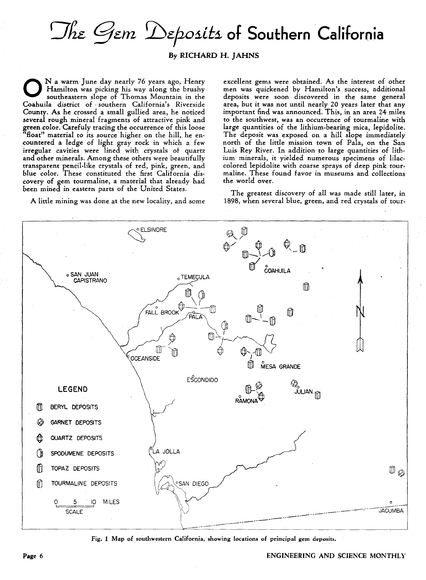## The *Gem 'Deposits* of Southern California

## By RICHARD H. JAHNS

Na warm June day nearly 76 years ago, Henry<br>Hamilton was picking his way along the brushy<br>southeastern slope of Thomas Mountain in the Hamilton was picking his way along the brushy southeastern slope of Thomas Mountain in the Coahuila district of, southern California's Riverside County. As he crossed a small gullied area, he noticed several rough mineral fragments of attractive pink and green color. Carefuly tracing the occurrence of this loose "float" material to its source higher on the hill,. he encountered a ledge of light gray rock in which a few irregular cavities were lined with crystals of quartz and other minerals. Among these others were beautifully transparent pencil-like crystals of red, pink, green, and blue color. These constituted the first California discovery of gem tourmaline, a material that already had been mined in eastern parts of the United States.

A little mining was done at the new locality, and some

excellent gems were obtained. As the interest of other men was quickened by Hamilton's success, additional deposits were soon discovered in the same general area, but it was not until nearly 20 years later that any important find was announced. This, in an area 24 miles to the southwest, was an occurrence of tourmaline with large quantities of the lithium-bearing mica, lepidolite. The deposit was exposed on a hill slope immediately north of the little mission town of Pala, on the San Luis Rey River. In addition to large quantities of lithium minerals, it yielded numerous specimens of lilaccolored lepidolite with coarse sprays of deep pink tourmaline. These found favor in museums and collections the world over.

The greatest discovery of all was made still later, in 1898, when several blue, green, and red crystals of tour-



Fig. 1 Map of southwestern California, showing locations of principal gem deposits.

## Page 6 ENGINEERING AND SCIENCE MONTHLY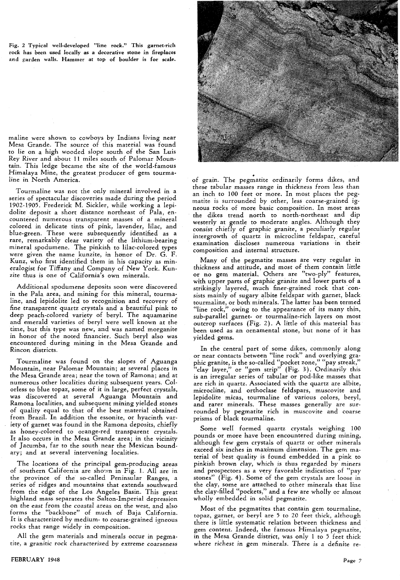Fig. 2 Typical well·developed "line rock." This garnet·rich rock has been used locally as a decorative stone in fireplaces and garden walls. Hammer at top of boulder is for scale.

maline were shown to cowboys by Indians living near Mesa Grande. The source of this material was found to lie on a high wooded slope south of the San Luis Rey River and about 11 miles south of Palomar Moun· tain. This ledge became the site of the world-famous Himalaya Mine, the greatest producer of gem tourma· line in North America.

Tourmaline was not the only mineral involved in a series of spectacular discoveries made during the period 1902-1905. Frederick M. Sickler, while working a lepidolite deposit a short distance northeast of Pala, en· countered numerous transparent masses of a mineral colored in delicate tints of pink, lavender, lilac, and blue-green. These were subsequently identified as a rare, remarkably clear variety of the lithium-bearing mineral spodumene. The pinkish to lilac-colored types were given the name kunzite, in honor of Dr. G. F. Kunz, *who* first identified them in his capacity as min· eralogist for Tiffany and Company of New York. Kunzite thus is one of California's own minerals.

Additional spodumene deposits soon were discovered in the Pala area, and mining for this mineral, tourmaline, and lepidolite led to recognition and recovery of fine transparent quartz crystals and a beautiful pink to deep peach-colored variety of beryl. The aquamarine and emerald varieties of beryl were well known at the time, but this type was new, and was named morganite in honor of the noted financier. Such beryl also was encountered during mining in the Mesa Grande and Rincon districts.

Tourmaline was found on the slopes of Aguanga Mountain, near Palomar Mountain; at several places in the Mesa Grande area; near the town of Ramona; and at numerous other localities during subsequent years. Colorless to blue topaz, some of it in large, perfect crystals, was discovered at several Aguanga Mountain and Ramona localities, and subsequent mining yielded stones of quality equal to that of the best material obtained from Brazil. In addition the essonite, or hyacinth variety of garnet was found in the Ramona deposits, chiefly as honey-colored to orange-red transparent crystals. It also occurs in the Mesa Grande area; in the vicinity of Jacumba, far to the south near the Mexican boundary; and at several intervening localities.

The locations of the principal gem-producing areas of southern California are shown in Fig. 1. All are in the province of the so-called Peninsular Ranges, a series of ridges and mountains that extends southward from the edge of the Los Angeles Basin. This great highland mass separates the Salton-Imperial depression on the east from the coastal areas on the west, and also forms the "backbone" of much of Baja California. It is characterized by medium- to coarse-grained igneous rocks that range widely in composition.

All the gem materials and minerals occur in pegmatite, a granitic rock characterized by extreme coarseness



of grain. The pegmatite ordinarily forms dikes, and these tabular masses range in thickness from less than an inch to 100 feet or more. In most places the pegmatite is surrounded by other, less coarse-grained igneous rocks of more basic composition. In most areas the dikes trend north to north-northeast and dip westerly at gentle to moderate angles. Although they consist chiefly of graphic granite, a peculiarly regular intergrowth of quartz in microcline feldspar, careful examination discloses numerous variations ·in their composition and internal structure.

Many of the pegmatite masses are very regular in thickness and attitude, and most of them contain little or no gem material. Others are "two-ply" features, with upper parts of graphic granite and lower parts of a strikingly layered, much finer-grained rock that consists mainly of sugary albite feldspar with garnet, black tourmaline, or both minerals. The latter has been termed "line rock," owing to the appearance of its many thin, sub-parallel garnet- or tourmaline-rich layers on most outcrop surfaces (Fig. 2). A little of this material has been used as an ornamental stone, but none of it has yielded gems.

In the central part of some dikes, commonly along or near contacts between "line rock" and overlying graphic granite, is the so-called "pocket zone," "pay streak," "clay layer," or "gem strip" (Fig. 3). Ordinarily this is an irregular series of tabular or pod-like masses that are rich in quartz. Associated with the quartz are albite, microcline, and orthoclase feldspars, muscovite and lepidolite micas, tourmaline of various colors, beryl, and rarer minerals. These masses generally are surrounded by pegmatite rich in muscovite and coarse prisms of black tourmaline.

Some well formed quartz crystals weighing 100 pounds or more have been encountered during mining, although few gem crystals of quartz or other minerals exceed six inches in maximum dimension. The gem material of best quality is found embedded in a pink to pinkish brown clay, which is thus regarded by miners and prospectors as a very favorable indication of "pay stones" (Fig. 4). Some of the gem crystals are loose in the clay, some are attached to other minerals that line the clay-filled "pockets," and a few are wholly or almost wholly embedded in solid pegmatite.

Most of the pegmatites that contain gem tourmaline, topaz, garnet, or beryl are 5 to 20 feet thick, although there is little systematic relation between thickness and gem content. Indeed, the famous Himalaya pegmatite, in the Mesa Grande district, was only 1 to 5 feet thick where richest in gem minerals. There is a definite re-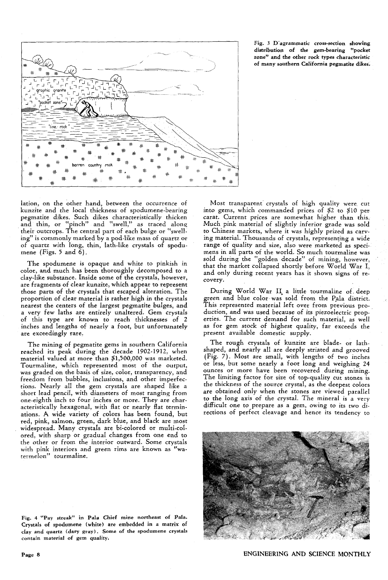

Fig. 3 D'agrammatic cross-section showing distribution of the gem-bearing "pocket zone" and the other rock types characteristic of many southern California pegmatite dikes.

lation, on the other hand, between the occurrence of kunzite and the local thickness' of spodumene-bearing pegmatite dikes. Such dikes characteristically thicken and thin, or "pinch" and "swell," as traced along their outcrops. The central part of each bulge or "swelling" is commonly marked by a pod-like mass of quartz or of quartz with long, thin, lath-like crystals of spodumene (Figs. 5 and 6).

The spodumene is opaque and white to pinkish in color, and much has been thoroughly decomposed to a day-like substance. Inside some of the crystals, however, are fragments of dear kunzite, which appear to represent those parts of the crystals that escaped alteration. The proportion of clear material is rather high in the crystals nearest the centers of the largest pegmatite bulges, and a very few laths are entirely unaltered. Gem crystals of this type are known to reach thicknesses of 2 inches and lengths of nearly a foot, but unfortunately are exceedingly rare,

The mining of pegmatite gems in southern California reached its peak during the decade 1902-1912, when material valued at more than \$1,500,000 was marketed. Tourmaline, which represented most of the output, was graded on the basis of size, color, transparency, and freedom from bubbles, inclusions, and other imperfections. Nearly all the gem crystals are shaped like a short lead pencil, with diameters of most ranging from one-eighth inch to four inches or more. They are characteristically hexagonal, with flat or nearly flat terminations. A wide variety of colors has been found, but red, pink, salmon, green, dark blue, and black are most widespread. Many crystals are bi-colored or multi-colored, with sharp or gradual changes from one end to the other or from the interior outward. Some crystals with pink interiors and green rims are known as "watermelon" tourmaline.

Fig. 4 "Pay streak" in Pala Chief mine northeast of Pala. Crystals of spodumene (white) are embedded in a matrix of clay and quartz (dary gray). Some of the spodumene crystals contain material of gem quality.

Most transparent crystals of high quality were cut into gems, which commanded prices of \$2 to \$10 per carat. Current prices are somewhat higher than this, Much pink material of slightly inferior grade was sold to Chinese markets., where it was highly prized as carving material. Thousands of crystals, representing a wide range of quality and size, also were marketed as specimens in all parts of the world. So much tourmaline was sold during the "golden decade" of mining, however, that the market collapsed shortly before World War I, and only during recent years has it shown signs of recovery.

During World War II a little tourmaline of deep green and blue color· was sold from the P,ala district. This represented material left over from previous pro- . duction, and was used because of its piezoelectric properties. The current demand for such material, as well as for gem stock of highest quality, far exceeds the present available domestic supply.

The rough crystals of kunzite are blade- or lathshaped, and nearly all are deeply striated and grooved (Fig. 7). Most are small, with lengths of two inches or less, but some nearly a foot long and weighing 24 ounces or more have been recovered during mining. The limiting factor for size of top-quality cut stones is the thickness of the source crystal, as the deepest colors are obtained only when the stones are viewed parallel to the long axis of the crystal. The mineral is a very difficult one to prepare as a gem, owing to its two directions of perfect cleavage and hence its tendency to



ENGINEERING AND SCIENCE MONTHLY